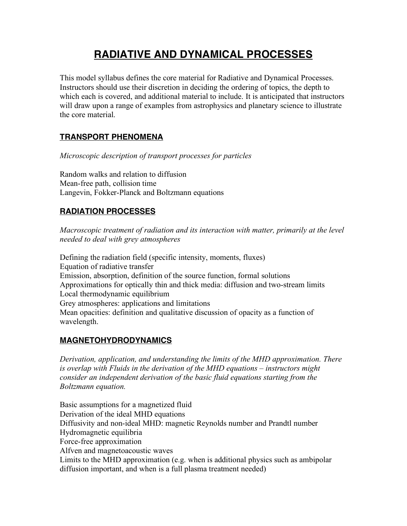# **RADIATIVE AND DYNAMICAL PROCESSES**

This model syllabus defines the core material for Radiative and Dynamical Processes. Instructors should use their discretion in deciding the ordering of topics, the depth to which each is covered, and additional material to include. It is anticipated that instructors will draw upon a range of examples from astrophysics and planetary science to illustrate the core material.

## **TRANSPORT PHENOMENA**

*Microscopic description of transport processes for particles*

Random walks and relation to diffusion Mean-free path, collision time Langevin, Fokker-Planck and Boltzmann equations

## **RADIATION PROCESSES**

*Macroscopic treatment of radiation and its interaction with matter, primarily at the level needed to deal with grey atmospheres*

Defining the radiation field (specific intensity, moments, fluxes) Equation of radiative transfer Emission, absorption, definition of the source function, formal solutions Approximations for optically thin and thick media: diffusion and two-stream limits Local thermodynamic equilibrium Grey atmospheres: applications and limitations Mean opacities: definition and qualitative discussion of opacity as a function of wavelength.

### **MAGNETOHYDRODYNAMICS**

*Derivation, application, and understanding the limits of the MHD approximation. There is overlap with Fluids in the derivation of the MHD equations – instructors might consider an independent derivation of the basic fluid equations starting from the Boltzmann equation.*

Basic assumptions for a magnetized fluid Derivation of the ideal MHD equations Diffusivity and non-ideal MHD: magnetic Reynolds number and Prandtl number Hydromagnetic equilibria Force-free approximation Alfven and magnetoacoustic waves Limits to the MHD approximation (e.g. when is additional physics such as ambipolar diffusion important, and when is a full plasma treatment needed)